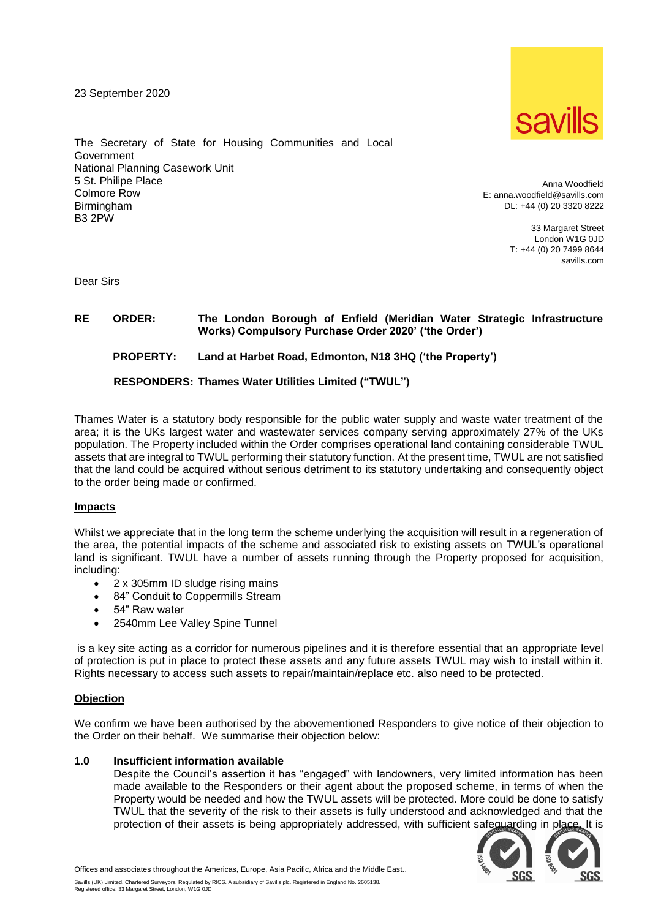23 September 2020



The Secretary of State for Housing Communities and Local **Government** National Planning Casework Unit 5 St. Philipe Place Colmore Row Birmingham B3 2PW

Anna Woodfield E: anna.woodfield@savills.com DL: +44 (0) 20 3320 8222

> 33 Margaret Street London W1G 0JD T: +44 (0) 20 7499 8644 savills.com

Dear Sirs

# **RE ORDER: The London Borough of Enfield (Meridian Water Strategic Infrastructure Works) Compulsory Purchase Order 2020' ('the Order')**

# **PROPERTY: Land at Harbet Road, Edmonton, N18 3HQ ('the Property')**

## **RESPONDERS: Thames Water Utilities Limited ("TWUL")**

Thames Water is a statutory body responsible for the public water supply and waste water treatment of the area; it is the UKs largest water and wastewater services company serving approximately 27% of the UKs population. The Property included within the Order comprises operational land containing considerable TWUL assets that are integral to TWUL performing their statutory function. At the present time, TWUL are not satisfied that the land could be acquired without serious detriment to its statutory undertaking and consequently object to the order being made or confirmed.

### **Impacts**

Whilst we appreciate that in the long term the scheme underlying the acquisition will result in a regeneration of the area, the potential impacts of the scheme and associated risk to existing assets on TWUL's operational land is significant. TWUL have a number of assets running through the Property proposed for acquisition, including:

- 2 x 305mm ID sludge rising mains
- 84" Conduit to Coppermills Stream
- 54" Raw water
- 2540mm Lee Valley Spine Tunnel

is a key site acting as a corridor for numerous pipelines and it is therefore essential that an appropriate level of protection is put in place to protect these assets and any future assets TWUL may wish to install within it. Rights necessary to access such assets to repair/maintain/replace etc. also need to be protected.

#### **Objection**

We confirm we have been authorised by the abovementioned Responders to give notice of their objection to the Order on their behalf. We summarise their objection below:

#### **1.0 Insufficient information available**

Despite the Council's assertion it has "engaged" with landowners, very limited information has been made available to the Responders or their agent about the proposed scheme, in terms of when the Property would be needed and how the TWUL assets will be protected. More could be done to satisfy TWUL that the severity of the risk to their assets is fully understood and acknowledged and that the protection of their assets is being appropriately addressed, with sufficient safeguarding in place. It is



Offices and associates throughout the Americas, Europe, Asia Pacific, Africa and the Middle East..

Savills (UK) Limited. Chartered Surveyors. Regulated by RICS. A subsidiary of Savills plc. Registered in England No. 2605138.<br>Registered office: 33 Margaret Street, London, W1G 0JD